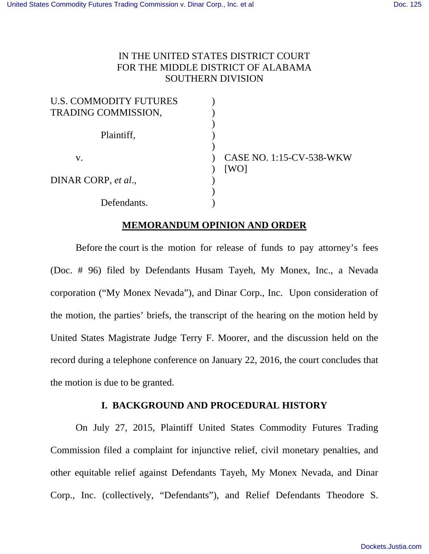## IN THE UNITED STATES DISTRICT COURT FOR THE MIDDLE DISTRICT OF ALABAMA SOUTHERN DIVISION

| <b>U.S. COMMODITY FUTURES</b> |                          |
|-------------------------------|--------------------------|
| TRADING COMMISSION,           |                          |
|                               |                          |
| Plaintiff,                    |                          |
|                               |                          |
| V.                            | CASE NO. 1:15-CV-538-WKW |
|                               | [WO]                     |
| DINAR CORP, et al.,           |                          |
|                               |                          |
| Defendants.                   |                          |

#### **MEMORANDUM OPINION AND ORDER**

 Before the court is the motion for release of funds to pay attorney's fees (Doc. # 96) filed by Defendants Husam Tayeh, My Monex, Inc., a Nevada corporation ("My Monex Nevada"), and Dinar Corp., Inc. Upon consideration of the motion, the parties' briefs, the transcript of the hearing on the motion held by United States Magistrate Judge Terry F. Moorer, and the discussion held on the record during a telephone conference on January 22, 2016, the court concludes that the motion is due to be granted.

## **I. BACKGROUND AND PROCEDURAL HISTORY**

On July 27, 2015, Plaintiff United States Commodity Futures Trading Commission filed a complaint for injunctive relief, civil monetary penalties, and other equitable relief against Defendants Tayeh, My Monex Nevada, and Dinar Corp., Inc. (collectively, "Defendants"), and Relief Defendants Theodore S.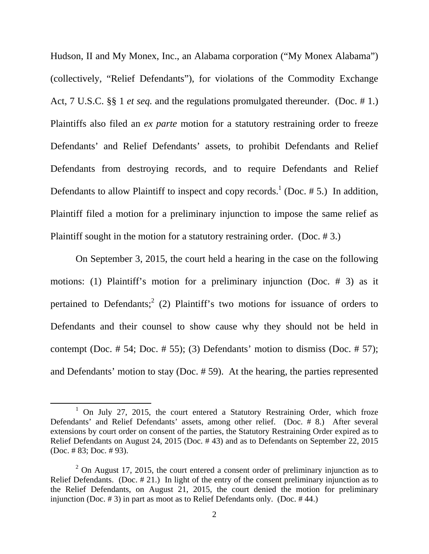Hudson, II and My Monex, Inc., an Alabama corporation ("My Monex Alabama") (collectively, "Relief Defendants"), for violations of the Commodity Exchange Act, 7 U.S.C. §§ 1 *et seq.* and the regulations promulgated thereunder. (Doc. # 1.) Plaintiffs also filed an *ex parte* motion for a statutory restraining order to freeze Defendants' and Relief Defendants' assets, to prohibit Defendants and Relief Defendants from destroying records, and to require Defendants and Relief Defendants to allow Plaintiff to inspect and copy records.<sup>1</sup> (Doc.  $# 5$ .) In addition, Plaintiff filed a motion for a preliminary injunction to impose the same relief as Plaintiff sought in the motion for a statutory restraining order. (Doc. # 3.)

On September 3, 2015, the court held a hearing in the case on the following motions: (1) Plaintiff's motion for a preliminary injunction (Doc. # 3) as it pertained to Defendants;<sup>2</sup> (2) Plaintiff's two motions for issuance of orders to Defendants and their counsel to show cause why they should not be held in contempt (Doc.  $\#$  54; Doc.  $\#$  55); (3) Defendants' motion to dismiss (Doc.  $\#$  57); and Defendants' motion to stay (Doc. # 59). At the hearing, the parties represented

<sup>&</sup>lt;sup>1</sup> On July 27, 2015, the court entered a Statutory Restraining Order, which froze Defendants' and Relief Defendants' assets, among other relief. (Doc. # 8.) After several extensions by court order on consent of the parties, the Statutory Restraining Order expired as to Relief Defendants on August 24, 2015 (Doc. # 43) and as to Defendants on September 22, 2015 (Doc. # 83; Doc. # 93).

 $2$  On August 17, 2015, the court entered a consent order of preliminary injunction as to Relief Defendants. (Doc. # 21.) In light of the entry of the consent preliminary injunction as to the Relief Defendants, on August 21, 2015, the court denied the motion for preliminary injunction (Doc. # 3) in part as moot as to Relief Defendants only. (Doc. # 44.)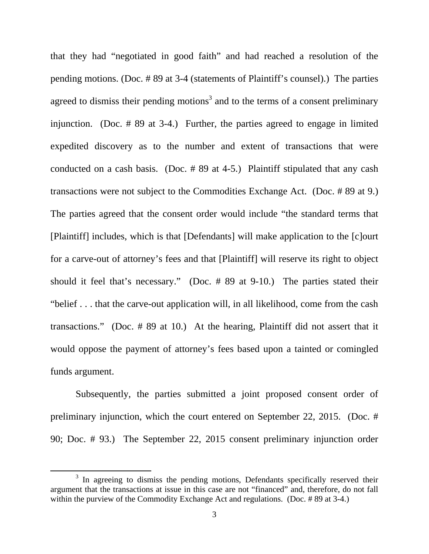that they had "negotiated in good faith" and had reached a resolution of the pending motions. (Doc. # 89 at 3-4 (statements of Plaintiff's counsel).) The parties agreed to dismiss their pending motions<sup>3</sup> and to the terms of a consent preliminary injunction. (Doc. # 89 at 3-4.) Further, the parties agreed to engage in limited expedited discovery as to the number and extent of transactions that were conducted on a cash basis. (Doc. # 89 at 4-5.) Plaintiff stipulated that any cash transactions were not subject to the Commodities Exchange Act. (Doc. # 89 at 9.) The parties agreed that the consent order would include "the standard terms that [Plaintiff] includes, which is that [Defendants] will make application to the [c]ourt for a carve-out of attorney's fees and that [Plaintiff] will reserve its right to object should it feel that's necessary." (Doc. # 89 at 9-10.) The parties stated their "belief . . . that the carve-out application will, in all likelihood, come from the cash transactions." (Doc. # 89 at 10.) At the hearing, Plaintiff did not assert that it would oppose the payment of attorney's fees based upon a tainted or comingled funds argument.

Subsequently, the parties submitted a joint proposed consent order of preliminary injunction, which the court entered on September 22, 2015. (Doc. # 90; Doc. # 93.) The September 22, 2015 consent preliminary injunction order

<sup>&</sup>lt;sup>3</sup> In agreeing to dismiss the pending motions, Defendants specifically reserved their argument that the transactions at issue in this case are not "financed" and, therefore, do not fall within the purview of the Commodity Exchange Act and regulations. (Doc. #89 at 3-4.)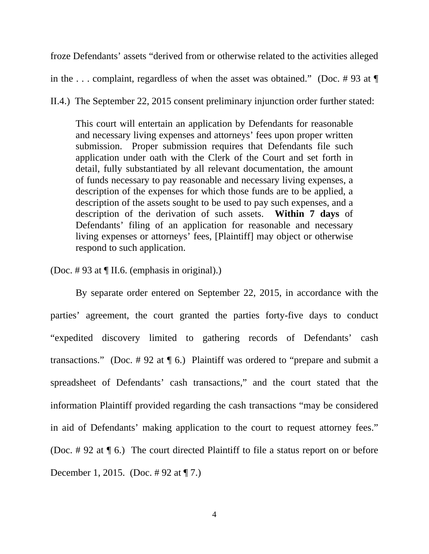froze Defendants' assets "derived from or otherwise related to the activities alleged

in the ... complaint, regardless of when the asset was obtained." (Doc. #93 at  $\P$ 

II.4.) The September 22, 2015 consent preliminary injunction order further stated:

This court will entertain an application by Defendants for reasonable and necessary living expenses and attorneys' fees upon proper written submission. Proper submission requires that Defendants file such application under oath with the Clerk of the Court and set forth in detail, fully substantiated by all relevant documentation, the amount of funds necessary to pay reasonable and necessary living expenses, a description of the expenses for which those funds are to be applied, a description of the assets sought to be used to pay such expenses, and a description of the derivation of such assets. **Within 7 days** of Defendants' filing of an application for reasonable and necessary living expenses or attorneys' fees, [Plaintiff] may object or otherwise respond to such application.

(Doc. # 93 at ¶ II.6. (emphasis in original).)

 By separate order entered on September 22, 2015, in accordance with the parties' agreement, the court granted the parties forty-five days to conduct "expedited discovery limited to gathering records of Defendants' cash transactions." (Doc.  $\#$  92 at  $\P$  6.) Plaintiff was ordered to "prepare and submit a spreadsheet of Defendants' cash transactions," and the court stated that the information Plaintiff provided regarding the cash transactions "may be considered in aid of Defendants' making application to the court to request attorney fees." (Doc. # 92 at ¶ 6.) The court directed Plaintiff to file a status report on or before December 1, 2015. (Doc. # 92 at ¶ 7.)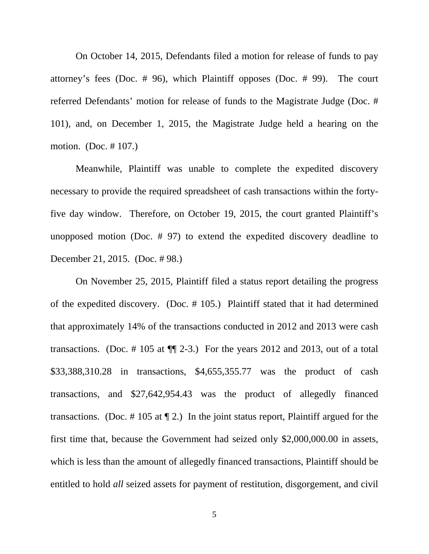On October 14, 2015, Defendants filed a motion for release of funds to pay attorney's fees (Doc. # 96), which Plaintiff opposes (Doc. # 99). The court referred Defendants' motion for release of funds to the Magistrate Judge (Doc. # 101), and, on December 1, 2015, the Magistrate Judge held a hearing on the motion. (Doc. # 107.)

 Meanwhile, Plaintiff was unable to complete the expedited discovery necessary to provide the required spreadsheet of cash transactions within the fortyfive day window. Therefore, on October 19, 2015, the court granted Plaintiff's unopposed motion (Doc. # 97) to extend the expedited discovery deadline to December 21, 2015. (Doc. # 98.)

 On November 25, 2015, Plaintiff filed a status report detailing the progress of the expedited discovery. (Doc. # 105.) Plaintiff stated that it had determined that approximately 14% of the transactions conducted in 2012 and 2013 were cash transactions. (Doc.  $\#$  105 at  $\P$  $\emptyset$  2-3.) For the years 2012 and 2013, out of a total \$33,388,310.28 in transactions, \$4,655,355.77 was the product of cash transactions, and \$27,642,954.43 was the product of allegedly financed transactions. (Doc.  $\#$  105 at  $\P$  2.) In the joint status report, Plaintiff argued for the first time that, because the Government had seized only \$2,000,000.00 in assets, which is less than the amount of allegedly financed transactions, Plaintiff should be entitled to hold *all* seized assets for payment of restitution, disgorgement, and civil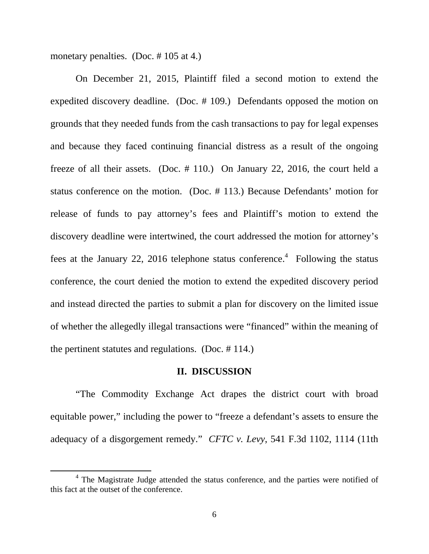monetary penalties. (Doc. #105 at 4.)

 On December 21, 2015, Plaintiff filed a second motion to extend the expedited discovery deadline. (Doc. # 109.) Defendants opposed the motion on grounds that they needed funds from the cash transactions to pay for legal expenses and because they faced continuing financial distress as a result of the ongoing freeze of all their assets. (Doc. # 110.) On January 22, 2016, the court held a status conference on the motion. (Doc. # 113.) Because Defendants' motion for release of funds to pay attorney's fees and Plaintiff's motion to extend the discovery deadline were intertwined, the court addressed the motion for attorney's fees at the January 22, 2016 telephone status conference.<sup>4</sup> Following the status conference, the court denied the motion to extend the expedited discovery period and instead directed the parties to submit a plan for discovery on the limited issue of whether the allegedly illegal transactions were "financed" within the meaning of the pertinent statutes and regulations. (Doc. # 114.)

#### **II. DISCUSSION**

 "The Commodity Exchange Act drapes the district court with broad equitable power," including the power to "freeze a defendant's assets to ensure the adequacy of a disgorgement remedy." *CFTC v. Levy*, 541 F.3d 1102, 1114 (11th

<sup>&</sup>lt;sup>4</sup> The Magistrate Judge attended the status conference, and the parties were notified of this fact at the outset of the conference.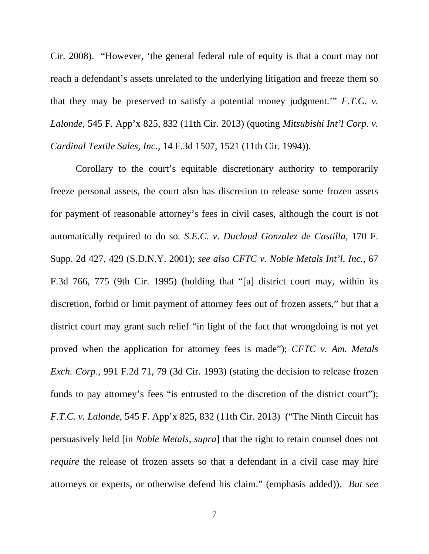Cir. 2008). "However, 'the general federal rule of equity is that a court may not reach a defendant's assets unrelated to the underlying litigation and freeze them so that they may be preserved to satisfy a potential money judgment.'" *F.T.C. v. Lalonde*, 545 F. App'x 825, 832 (11th Cir. 2013) (quoting *Mitsubishi Int'l Corp. v. Cardinal Textile Sales, Inc*., 14 F.3d 1507, 1521 (11th Cir. 1994)).

 Corollary to the court's equitable discretionary authority to temporarily freeze personal assets, the court also has discretion to release some frozen assets for payment of reasonable attorney's fees in civil cases, although the court is not automatically required to do so*. S.E.C. v*. *Duclaud Gonzalez de Castilla*, 170 F. Supp. 2d 427, 429 (S.D.N.Y. 2001); *see also CFTC v. Noble Metals Int'l, Inc*., 67 F.3d 766, 775 (9th Cir. 1995) (holding that "[a] district court may, within its discretion, forbid or limit payment of attorney fees out of frozen assets," but that a district court may grant such relief "in light of the fact that wrongdoing is not yet proved when the application for attorney fees is made"); *CFTC v. Am. Metals Exch. Corp*., 991 F.2d 71, 79 (3d Cir. 1993) (stating the decision to release frozen funds to pay attorney's fees "is entrusted to the discretion of the district court"); *F.T.C. v. Lalonde*, 545 F. App'x 825, 832 (11th Cir. 2013) ("The Ninth Circuit has persuasively held [in *Noble Metals, supra*] that the right to retain counsel does not *require* the release of frozen assets so that a defendant in a civil case may hire attorneys or experts, or otherwise defend his claim." (emphasis added)). *But see*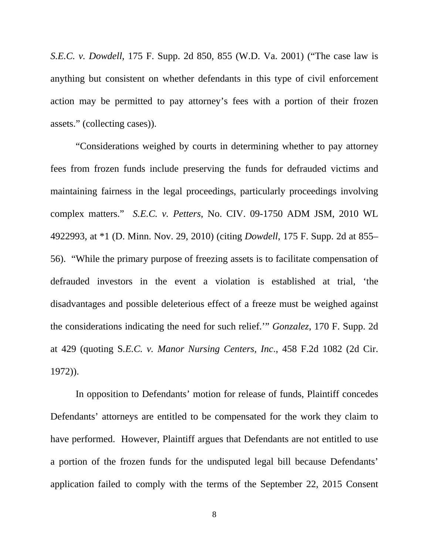*S.E.C. v. Dowdell*, 175 F. Supp. 2d 850, 855 (W.D. Va. 2001) ("The case law is anything but consistent on whether defendants in this type of civil enforcement action may be permitted to pay attorney's fees with a portion of their frozen assets." (collecting cases)).

 "Considerations weighed by courts in determining whether to pay attorney fees from frozen funds include preserving the funds for defrauded victims and maintaining fairness in the legal proceedings, particularly proceedings involving complex matters." *S.E.C. v. Petters*, No. CIV. 09-1750 ADM JSM, 2010 WL 4922993, at \*1 (D. Minn. Nov. 29, 2010) (citing *Dowdell*, 175 F. Supp. 2d at 855– 56). "While the primary purpose of freezing assets is to facilitate compensation of defrauded investors in the event a violation is established at trial, 'the disadvantages and possible deleterious effect of a freeze must be weighed against the considerations indicating the need for such relief.'" *Gonzalez*, 170 F. Supp. 2d at 429 (quoting S*.E.C. v. Manor Nursing Centers, Inc*., 458 F.2d 1082 (2d Cir. 1972)).

 In opposition to Defendants' motion for release of funds, Plaintiff concedes Defendants' attorneys are entitled to be compensated for the work they claim to have performed. However, Plaintiff argues that Defendants are not entitled to use a portion of the frozen funds for the undisputed legal bill because Defendants' application failed to comply with the terms of the September 22, 2015 Consent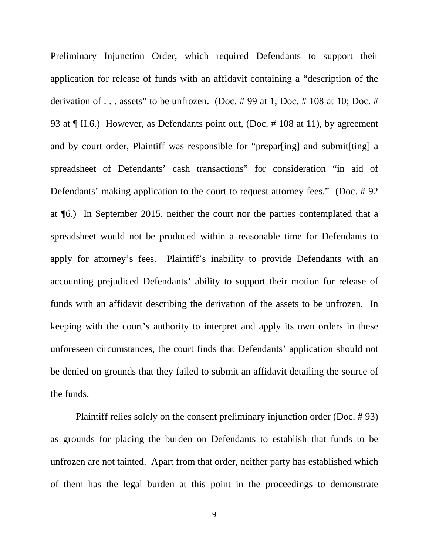Preliminary Injunction Order, which required Defendants to support their application for release of funds with an affidavit containing a "description of the derivation of . . . assets" to be unfrozen. (Doc. # 99 at 1; Doc. # 108 at 10; Doc. # 93 at ¶ II.6.) However, as Defendants point out, (Doc. # 108 at 11), by agreement and by court order, Plaintiff was responsible for "prepar[ing] and submit[ting] a spreadsheet of Defendants' cash transactions" for consideration "in aid of Defendants' making application to the court to request attorney fees." (Doc. # 92 at ¶6.) In September 2015, neither the court nor the parties contemplated that a spreadsheet would not be produced within a reasonable time for Defendants to apply for attorney's fees. Plaintiff's inability to provide Defendants with an accounting prejudiced Defendants' ability to support their motion for release of funds with an affidavit describing the derivation of the assets to be unfrozen. In keeping with the court's authority to interpret and apply its own orders in these unforeseen circumstances, the court finds that Defendants' application should not be denied on grounds that they failed to submit an affidavit detailing the source of the funds.

 Plaintiff relies solely on the consent preliminary injunction order (Doc. # 93) as grounds for placing the burden on Defendants to establish that funds to be unfrozen are not tainted. Apart from that order, neither party has established which of them has the legal burden at this point in the proceedings to demonstrate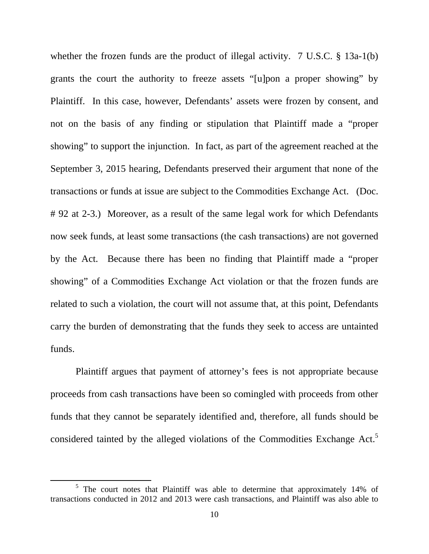whether the frozen funds are the product of illegal activity. 7 U.S.C. § 13a-1(b) grants the court the authority to freeze assets "[u]pon a proper showing" by Plaintiff. In this case, however, Defendants' assets were frozen by consent, and not on the basis of any finding or stipulation that Plaintiff made a "proper showing" to support the injunction. In fact, as part of the agreement reached at the September 3, 2015 hearing, Defendants preserved their argument that none of the transactions or funds at issue are subject to the Commodities Exchange Act. (Doc. # 92 at 2-3.) Moreover, as a result of the same legal work for which Defendants now seek funds, at least some transactions (the cash transactions) are not governed by the Act. Because there has been no finding that Plaintiff made a "proper showing" of a Commodities Exchange Act violation or that the frozen funds are related to such a violation, the court will not assume that, at this point, Defendants carry the burden of demonstrating that the funds they seek to access are untainted funds.

 Plaintiff argues that payment of attorney's fees is not appropriate because proceeds from cash transactions have been so comingled with proceeds from other funds that they cannot be separately identified and, therefore, all funds should be considered tainted by the alleged violations of the Commodities Exchange Act.<sup>5</sup>

<sup>&</sup>lt;sup>5</sup> The court notes that Plaintiff was able to determine that approximately 14% of transactions conducted in 2012 and 2013 were cash transactions, and Plaintiff was also able to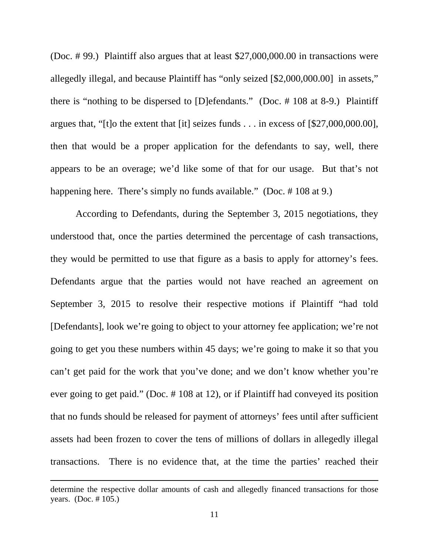(Doc. # 99.) Plaintiff also argues that at least \$27,000,000.00 in transactions were allegedly illegal, and because Plaintiff has "only seized [\$2,000,000.00] in assets," there is "nothing to be dispersed to [D]efendants." (Doc. # 108 at 8-9.) Plaintiff argues that, "[t]o the extent that [it] seizes funds . . . in excess of [\$27,000,000.00], then that would be a proper application for the defendants to say, well, there appears to be an overage; we'd like some of that for our usage. But that's not happening here. There's simply no funds available." (Doc. #108 at 9.)

 According to Defendants, during the September 3, 2015 negotiations, they understood that, once the parties determined the percentage of cash transactions, they would be permitted to use that figure as a basis to apply for attorney's fees. Defendants argue that the parties would not have reached an agreement on September 3, 2015 to resolve their respective motions if Plaintiff "had told [Defendants], look we're going to object to your attorney fee application; we're not going to get you these numbers within 45 days; we're going to make it so that you can't get paid for the work that you've done; and we don't know whether you're ever going to get paid." (Doc. # 108 at 12), or if Plaintiff had conveyed its position that no funds should be released for payment of attorneys' fees until after sufficient assets had been frozen to cover the tens of millions of dollars in allegedly illegal transactions. There is no evidence that, at the time the parties' reached their

<u> Andrewski politika (za obrazu pod predsjednika u predsjednika u predsjednika u predsjednika (za obrazu pod p</u>

determine the respective dollar amounts of cash and allegedly financed transactions for those years. (Doc. # 105.)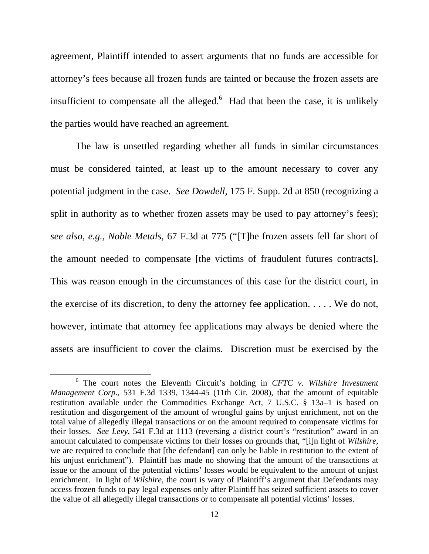agreement, Plaintiff intended to assert arguments that no funds are accessible for attorney's fees because all frozen funds are tainted or because the frozen assets are insufficient to compensate all the alleged. $6$  Had that been the case, it is unlikely the parties would have reached an agreement.

 The law is unsettled regarding whether all funds in similar circumstances must be considered tainted, at least up to the amount necessary to cover any potential judgment in the case. *See Dowdell*, 175 F. Supp. 2d at 850 (recognizing a split in authority as to whether frozen assets may be used to pay attorney's fees); *see also, e.g., Noble Metals*, 67 F.3d at 775 ("[T]he frozen assets fell far short of the amount needed to compensate [the victims of fraudulent futures contracts]. This was reason enough in the circumstances of this case for the district court, in the exercise of its discretion, to deny the attorney fee application. . . . . We do not, however, intimate that attorney fee applications may always be denied where the assets are insufficient to cover the claims. Discretion must be exercised by the

<sup>&</sup>lt;sup>6</sup> The court notes the Eleventh Circuit's holding in *CFTC v. Wilshire Investment Management Corp*., 531 F.3d 1339, 1344-45 (11th Cir. 2008), that the amount of equitable restitution available under the Commodities Exchange Act, 7 U.S.C. § 13a–1 is based on restitution and disgorgement of the amount of wrongful gains by unjust enrichment, not on the total value of allegedly illegal transactions or on the amount required to compensate victims for their losses. *See Levy*, 541 F.3d at 1113 (reversing a district court's "restitution" award in an amount calculated to compensate victims for their losses on grounds that, "[i]n light of *Wilshire*, we are required to conclude that [the defendant] can only be liable in restitution to the extent of his unjust enrichment"). Plaintiff has made no showing that the amount of the transactions at issue or the amount of the potential victims' losses would be equivalent to the amount of unjust enrichment. In light of *Wilshire*, the court is wary of Plaintiff's argument that Defendants may access frozen funds to pay legal expenses only after Plaintiff has seized sufficient assets to cover the value of all allegedly illegal transactions or to compensate all potential victims' losses.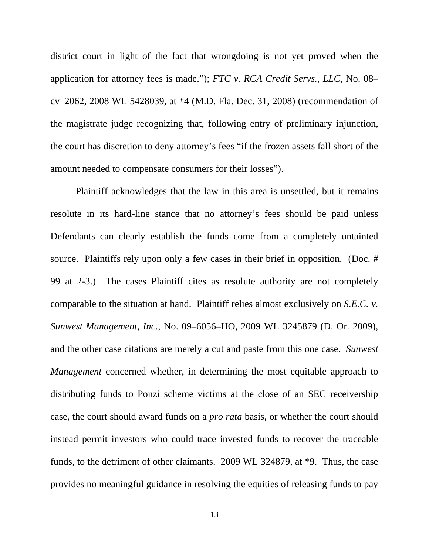district court in light of the fact that wrongdoing is not yet proved when the application for attorney fees is made."); *FTC v. RCA Credit Servs., LLC*, No. 08– cv–2062, 2008 WL 5428039, at \*4 (M.D. Fla. Dec. 31, 2008) (recommendation of the magistrate judge recognizing that, following entry of preliminary injunction, the court has discretion to deny attorney's fees "if the frozen assets fall short of the amount needed to compensate consumers for their losses").

 Plaintiff acknowledges that the law in this area is unsettled, but it remains resolute in its hard-line stance that no attorney's fees should be paid unless Defendants can clearly establish the funds come from a completely untainted source. Plaintiffs rely upon only a few cases in their brief in opposition. (Doc. # 99 at 2-3.) The cases Plaintiff cites as resolute authority are not completely comparable to the situation at hand. Plaintiff relies almost exclusively on *S.E.C. v. Sunwest Management, Inc.*, No. 09–6056–HO, 2009 WL 3245879 (D. Or. 2009), and the other case citations are merely a cut and paste from this one case. *Sunwest Management* concerned whether, in determining the most equitable approach to distributing funds to Ponzi scheme victims at the close of an SEC receivership case, the court should award funds on a *pro rata* basis, or whether the court should instead permit investors who could trace invested funds to recover the traceable funds, to the detriment of other claimants. 2009 WL 324879, at \*9. Thus, the case provides no meaningful guidance in resolving the equities of releasing funds to pay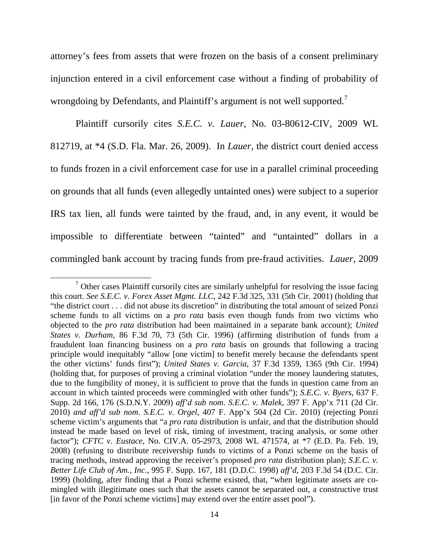attorney's fees from assets that were frozen on the basis of a consent preliminary injunction entered in a civil enforcement case without a finding of probability of wrongdoing by Defendants, and Plaintiff's argument is not well supported.<sup>7</sup>

 Plaintiff cursorily cites *S.E.C. v. Lauer*, No. 03-80612-CIV, 2009 WL 812719, at \*4 (S.D. Fla. Mar. 26, 2009). In *Lauer*, the district court denied access to funds frozen in a civil enforcement case for use in a parallel criminal proceeding on grounds that all funds (even allegedly untainted ones) were subject to a superior IRS tax lien, all funds were tainted by the fraud, and, in any event, it would be impossible to differentiate between "tainted" and "untainted" dollars in a commingled bank account by tracing funds from pre-fraud activities. *Lauer*, 2009

<sup>&</sup>lt;sup>7</sup> Other cases Plaintiff cursorily cites are similarly unhelpful for resolving the issue facing this court. *See S.E.C. v. Forex Asset Mgmt. LLC*, 242 F.3d 325, 331 (5th Cir. 2001) (holding that "the district court . . . did not abuse its discretion" in distributing the total amount of seized Ponzi scheme funds to all victims on a *pro rata* basis even though funds from two victims who objected to the *pro rata* distribution had been maintained in a separate bank account); *United States v. Durham*, 86 F.3d 70, 73 (5th Cir. 1996) (affirming distribution of funds from a fraudulent loan financing business on a *pro rata* basis on grounds that following a tracing principle would inequitably "allow [one victim] to benefit merely because the defendants spent the other victims' funds first"); *United States v. Garcia*, 37 F.3d 1359, 1365 (9th Cir. 1994) (holding that, for purposes of proving a criminal violation "under the money laundering statutes, due to the fungibility of money, it is sufficient to prove that the funds in question came from an account in which tainted proceeds were commingled with other funds"); *S.E.C. v. Byers*, 637 F. Supp. 2d 166, 176 (S.D.N.Y. 2009) *aff'd sub nom*. *S.E.C. v. Malek*, 397 F. App'x 711 (2d Cir. 2010) *and aff'd sub nom*. *S.E.C. v. Orgel*, 407 F. App'x 504 (2d Cir. 2010) (rejecting Ponzi scheme victim's arguments that "a *pro rata* distribution is unfair, and that the distribution should instead be made based on level of risk, timing of investment, tracing analysis, or some other factor"); *CFTC v. Eustace*, No. CIV.A. 05-2973, 2008 WL 471574, at \*7 (E.D. Pa. Feb. 19, 2008) (refusing to distribute receivership funds to victims of a Ponzi scheme on the basis of tracing methods, instead approving the receiver's proposed *pro rata* distribution plan); *S.E.C. v. Better Life Club of Am., Inc*., 995 F. Supp. 167, 181 (D.D.C. 1998) *aff'd*, 203 F.3d 54 (D.C. Cir. 1999) (holding, after finding that a Ponzi scheme existed, that, "when legitimate assets are comingled with illegitimate ones such that the assets cannot be separated out, a constructive trust [in favor of the Ponzi scheme victims] may extend over the entire asset pool").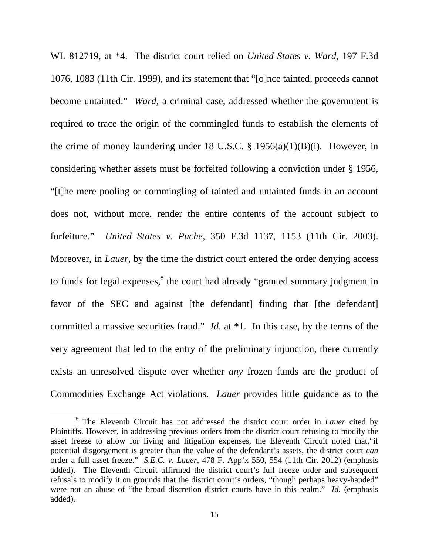WL 812719, at \*4. The district court relied on *United States v. Ward*, 197 F.3d 1076, 1083 (11th Cir. 1999), and its statement that "[o]nce tainted, proceeds cannot become untainted." *Ward*, a criminal case, addressed whether the government is required to trace the origin of the commingled funds to establish the elements of the crime of money laundering under 18 U.S.C.  $\S$  1956(a)(1)(B)(i). However, in considering whether assets must be forfeited following a conviction under § 1956, "[t]he mere pooling or commingling of tainted and untainted funds in an account does not, without more, render the entire contents of the account subject to forfeiture." *United States v. Puche*, 350 F.3d 1137, 1153 (11th Cir. 2003). Moreover, in *Lauer*, by the time the district court entered the order denying access to funds for legal expenses,<sup>8</sup> the court had already "granted summary judgment in favor of the SEC and against [the defendant] finding that [the defendant] committed a massive securities fraud." *Id*. at \*1. In this case, by the terms of the very agreement that led to the entry of the preliminary injunction, there currently exists an unresolved dispute over whether *any* frozen funds are the product of Commodities Exchange Act violations. *Lauer* provides little guidance as to the

<sup>&</sup>lt;sup>8</sup> The Eleventh Circuit has not addressed the district court order in *Lauer* cited by Plaintiffs. However, in addressing previous orders from the district court refusing to modify the asset freeze to allow for living and litigation expenses, the Eleventh Circuit noted that,"if potential disgorgement is greater than the value of the defendant's assets, the district court *can* order a full asset freeze." *S.E.C. v. Lauer*, 478 F. App'x 550, 554 (11th Cir. 2012) (emphasis added). The Eleventh Circuit affirmed the district court's full freeze order and subsequent refusals to modify it on grounds that the district court's orders, "though perhaps heavy-handed" were not an abuse of "the broad discretion district courts have in this realm." *Id.* (emphasis added).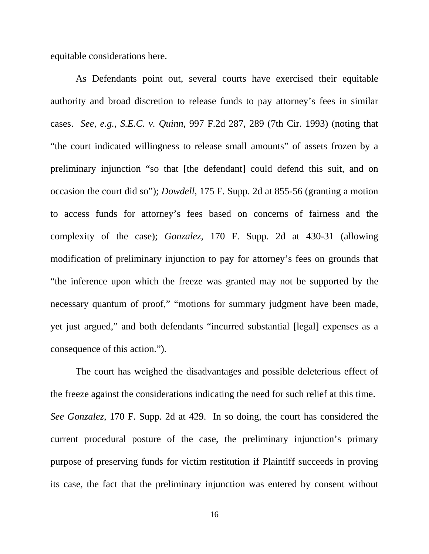equitable considerations here.

 As Defendants point out, several courts have exercised their equitable authority and broad discretion to release funds to pay attorney's fees in similar cases. *See, e.g., S.E.C. v. Quinn*, 997 F.2d 287, 289 (7th Cir. 1993) (noting that "the court indicated willingness to release small amounts" of assets frozen by a preliminary injunction "so that [the defendant] could defend this suit, and on occasion the court did so"); *Dowdell*, 175 F. Supp. 2d at 855-56 (granting a motion to access funds for attorney's fees based on concerns of fairness and the complexity of the case); *Gonzalez*, 170 F. Supp. 2d at 430-31 (allowing modification of preliminary injunction to pay for attorney's fees on grounds that "the inference upon which the freeze was granted may not be supported by the necessary quantum of proof," "motions for summary judgment have been made, yet just argued," and both defendants "incurred substantial [legal] expenses as a consequence of this action.").

 The court has weighed the disadvantages and possible deleterious effect of the freeze against the considerations indicating the need for such relief at this time. *See Gonzalez*, 170 F. Supp. 2d at 429. In so doing, the court has considered the current procedural posture of the case, the preliminary injunction's primary purpose of preserving funds for victim restitution if Plaintiff succeeds in proving its case, the fact that the preliminary injunction was entered by consent without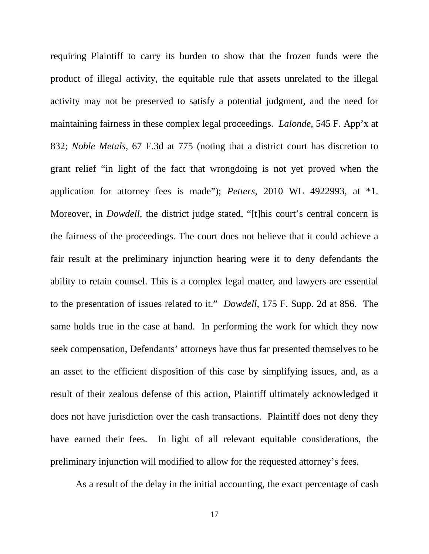requiring Plaintiff to carry its burden to show that the frozen funds were the product of illegal activity, the equitable rule that assets unrelated to the illegal activity may not be preserved to satisfy a potential judgment, and the need for maintaining fairness in these complex legal proceedings. *Lalonde*, 545 F. App'x at 832; *Noble Metals*, 67 F.3d at 775 (noting that a district court has discretion to grant relief "in light of the fact that wrongdoing is not yet proved when the application for attorney fees is made"); *Petters*, 2010 WL 4922993, at \*1. Moreover, in *Dowdell*, the district judge stated, "[t]his court's central concern is the fairness of the proceedings. The court does not believe that it could achieve a fair result at the preliminary injunction hearing were it to deny defendants the ability to retain counsel. This is a complex legal matter, and lawyers are essential to the presentation of issues related to it." *Dowdell*, 175 F. Supp. 2d at 856. The same holds true in the case at hand. In performing the work for which they now seek compensation, Defendants' attorneys have thus far presented themselves to be an asset to the efficient disposition of this case by simplifying issues, and, as a result of their zealous defense of this action, Plaintiff ultimately acknowledged it does not have jurisdiction over the cash transactions. Plaintiff does not deny they have earned their fees. In light of all relevant equitable considerations, the preliminary injunction will modified to allow for the requested attorney's fees.

As a result of the delay in the initial accounting, the exact percentage of cash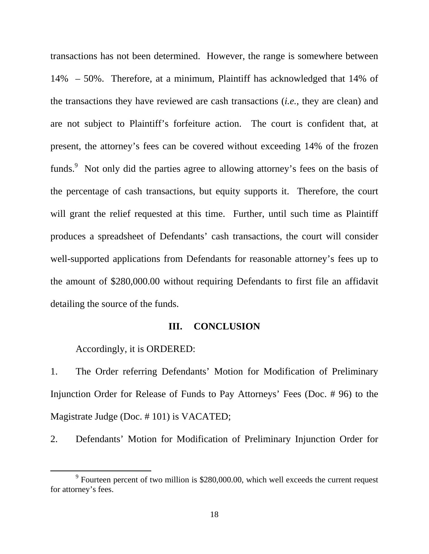transactions has not been determined. However, the range is somewhere between 14% – 50%. Therefore, at a minimum, Plaintiff has acknowledged that 14% of the transactions they have reviewed are cash transactions (*i.e.*, they are clean) and are not subject to Plaintiff's forfeiture action. The court is confident that, at present, the attorney's fees can be covered without exceeding 14% of the frozen funds.<sup>9</sup> Not only did the parties agree to allowing attorney's fees on the basis of the percentage of cash transactions, but equity supports it. Therefore, the court will grant the relief requested at this time. Further, until such time as Plaintiff produces a spreadsheet of Defendants' cash transactions, the court will consider well-supported applications from Defendants for reasonable attorney's fees up to the amount of \$280,000.00 without requiring Defendants to first file an affidavit detailing the source of the funds.

## **III. CONCLUSION**

Accordingly, it is ORDERED:

1. The Order referring Defendants' Motion for Modification of Preliminary Injunction Order for Release of Funds to Pay Attorneys' Fees (Doc. # 96) to the Magistrate Judge (Doc. # 101) is VACATED;

2. Defendants' Motion for Modification of Preliminary Injunction Order for

<sup>&</sup>lt;sup>9</sup> Fourteen percent of two million is \$280,000.00, which well exceeds the current request for attorney's fees.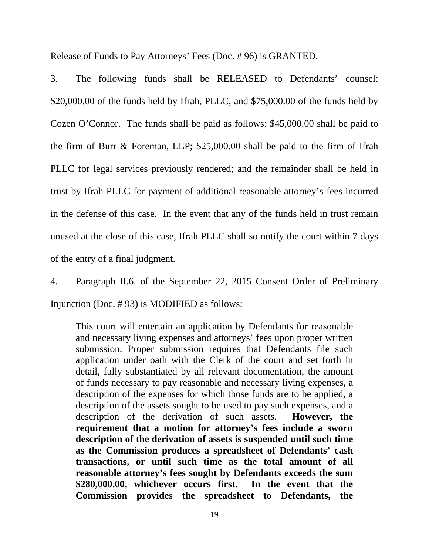Release of Funds to Pay Attorneys' Fees (Doc. # 96) is GRANTED.

3. The following funds shall be RELEASED to Defendants' counsel: \$20,000.00 of the funds held by Ifrah, PLLC, and \$75,000.00 of the funds held by Cozen O'Connor. The funds shall be paid as follows: \$45,000.00 shall be paid to the firm of Burr & Foreman, LLP; \$25,000.00 shall be paid to the firm of Ifrah PLLC for legal services previously rendered; and the remainder shall be held in trust by Ifrah PLLC for payment of additional reasonable attorney's fees incurred in the defense of this case. In the event that any of the funds held in trust remain unused at the close of this case, Ifrah PLLC shall so notify the court within 7 days of the entry of a final judgment.

4. Paragraph II.6. of the September 22, 2015 Consent Order of Preliminary Injunction (Doc. # 93) is MODIFIED as follows:

This court will entertain an application by Defendants for reasonable and necessary living expenses and attorneys' fees upon proper written submission. Proper submission requires that Defendants file such application under oath with the Clerk of the court and set forth in detail, fully substantiated by all relevant documentation, the amount of funds necessary to pay reasonable and necessary living expenses, a description of the expenses for which those funds are to be applied, a description of the assets sought to be used to pay such expenses, and a description of the derivation of such assets. **However, the requirement that a motion for attorney's fees include a sworn description of the derivation of assets is suspended until such time as the Commission produces a spreadsheet of Defendants' cash transactions, or until such time as the total amount of all reasonable attorney's fees sought by Defendants exceeds the sum \$280,000.00, whichever occurs first. In the event that the Commission provides the spreadsheet to Defendants, the**